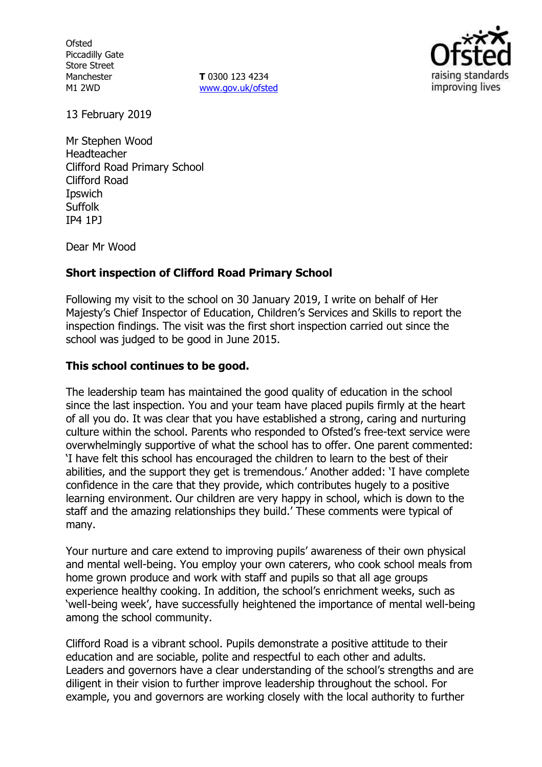**Ofsted** Piccadilly Gate Store Street Manchester M1 2WD

**T** 0300 123 4234 www.gov.uk/ofsted



13 February 2019

Mr Stephen Wood Headteacher Clifford Road Primary School Clifford Road Ipswich **Suffolk** IP4 1PJ

Dear Mr Wood

## **Short inspection of Clifford Road Primary School**

Following my visit to the school on 30 January 2019, I write on behalf of Her Majesty's Chief Inspector of Education, Children's Services and Skills to report the inspection findings. The visit was the first short inspection carried out since the school was judged to be good in June 2015.

## **This school continues to be good.**

The leadership team has maintained the good quality of education in the school since the last inspection. You and your team have placed pupils firmly at the heart of all you do. It was clear that you have established a strong, caring and nurturing culture within the school. Parents who responded to Ofsted's free-text service were overwhelmingly supportive of what the school has to offer. One parent commented: 'I have felt this school has encouraged the children to learn to the best of their abilities, and the support they get is tremendous.' Another added: 'I have complete confidence in the care that they provide, which contributes hugely to a positive learning environment. Our children are very happy in school, which is down to the staff and the amazing relationships they build.' These comments were typical of many.

Your nurture and care extend to improving pupils' awareness of their own physical and mental well-being. You employ your own caterers, who cook school meals from home grown produce and work with staff and pupils so that all age groups experience healthy cooking. In addition, the school's enrichment weeks, such as 'well-being week', have successfully heightened the importance of mental well-being among the school community.

Clifford Road is a vibrant school. Pupils demonstrate a positive attitude to their education and are sociable, polite and respectful to each other and adults. Leaders and governors have a clear understanding of the school's strengths and are diligent in their vision to further improve leadership throughout the school. For example, you and governors are working closely with the local authority to further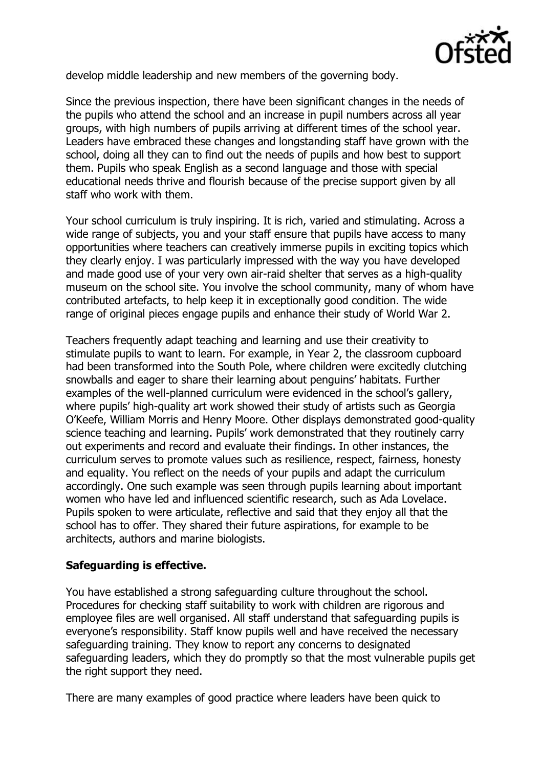

develop middle leadership and new members of the governing body.

Since the previous inspection, there have been significant changes in the needs of the pupils who attend the school and an increase in pupil numbers across all year groups, with high numbers of pupils arriving at different times of the school year. Leaders have embraced these changes and longstanding staff have grown with the school, doing all they can to find out the needs of pupils and how best to support them. Pupils who speak English as a second language and those with special educational needs thrive and flourish because of the precise support given by all staff who work with them.

Your school curriculum is truly inspiring. It is rich, varied and stimulating. Across a wide range of subjects, you and your staff ensure that pupils have access to many opportunities where teachers can creatively immerse pupils in exciting topics which they clearly enjoy. I was particularly impressed with the way you have developed and made good use of your very own air-raid shelter that serves as a high-quality museum on the school site. You involve the school community, many of whom have contributed artefacts, to help keep it in exceptionally good condition. The wide range of original pieces engage pupils and enhance their study of World War 2.

Teachers frequently adapt teaching and learning and use their creativity to stimulate pupils to want to learn. For example, in Year 2, the classroom cupboard had been transformed into the South Pole, where children were excitedly clutching snowballs and eager to share their learning about penguins' habitats. Further examples of the well-planned curriculum were evidenced in the school's gallery, where pupils' high-quality art work showed their study of artists such as Georgia O'Keefe, William Morris and Henry Moore. Other displays demonstrated good-quality science teaching and learning. Pupils' work demonstrated that they routinely carry out experiments and record and evaluate their findings. In other instances, the curriculum serves to promote values such as resilience, respect, fairness, honesty and equality. You reflect on the needs of your pupils and adapt the curriculum accordingly. One such example was seen through pupils learning about important women who have led and influenced scientific research, such as Ada Lovelace. Pupils spoken to were articulate, reflective and said that they enjoy all that the school has to offer. They shared their future aspirations, for example to be architects, authors and marine biologists.

# **Safeguarding is effective.**

You have established a strong safeguarding culture throughout the school. Procedures for checking staff suitability to work with children are rigorous and employee files are well organised. All staff understand that safeguarding pupils is everyone's responsibility. Staff know pupils well and have received the necessary safeguarding training. They know to report any concerns to designated safeguarding leaders, which they do promptly so that the most vulnerable pupils get the right support they need.

There are many examples of good practice where leaders have been quick to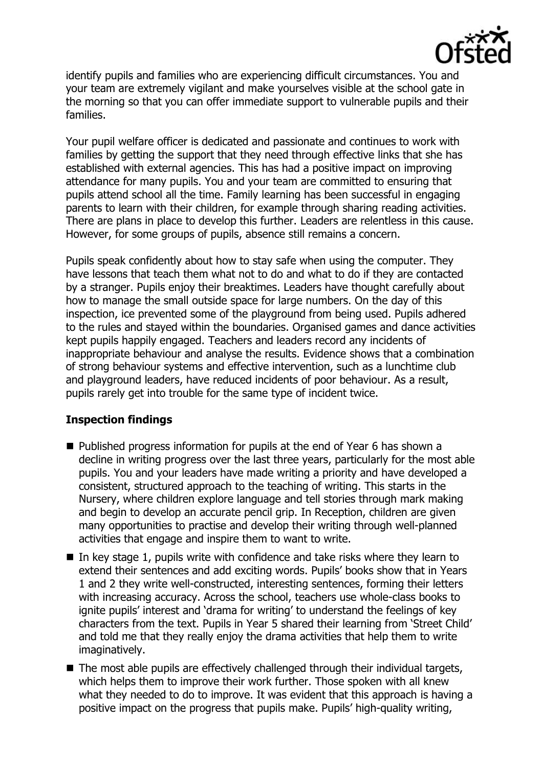

identify pupils and families who are experiencing difficult circumstances. You and your team are extremely vigilant and make yourselves visible at the school gate in the morning so that you can offer immediate support to vulnerable pupils and their families.

Your pupil welfare officer is dedicated and passionate and continues to work with families by getting the support that they need through effective links that she has established with external agencies. This has had a positive impact on improving attendance for many pupils. You and your team are committed to ensuring that pupils attend school all the time. Family learning has been successful in engaging parents to learn with their children, for example through sharing reading activities. There are plans in place to develop this further. Leaders are relentless in this cause. However, for some groups of pupils, absence still remains a concern.

Pupils speak confidently about how to stay safe when using the computer. They have lessons that teach them what not to do and what to do if they are contacted by a stranger. Pupils enjoy their breaktimes. Leaders have thought carefully about how to manage the small outside space for large numbers. On the day of this inspection, ice prevented some of the playground from being used. Pupils adhered to the rules and stayed within the boundaries. Organised games and dance activities kept pupils happily engaged. Teachers and leaders record any incidents of inappropriate behaviour and analyse the results. Evidence shows that a combination of strong behaviour systems and effective intervention, such as a lunchtime club and playground leaders, have reduced incidents of poor behaviour. As a result, pupils rarely get into trouble for the same type of incident twice.

## **Inspection findings**

- Published progress information for pupils at the end of Year 6 has shown a decline in writing progress over the last three years, particularly for the most able pupils. You and your leaders have made writing a priority and have developed a consistent, structured approach to the teaching of writing. This starts in the Nursery, where children explore language and tell stories through mark making and begin to develop an accurate pencil grip. In Reception, children are given many opportunities to practise and develop their writing through well-planned activities that engage and inspire them to want to write.
- In key stage 1, pupils write with confidence and take risks where they learn to extend their sentences and add exciting words. Pupils' books show that in Years 1 and 2 they write well-constructed, interesting sentences, forming their letters with increasing accuracy. Across the school, teachers use whole-class books to ignite pupils' interest and 'drama for writing' to understand the feelings of key characters from the text. Pupils in Year 5 shared their learning from 'Street Child' and told me that they really enjoy the drama activities that help them to write imaginatively.
- The most able pupils are effectively challenged through their individual targets, which helps them to improve their work further. Those spoken with all knew what they needed to do to improve. It was evident that this approach is having a positive impact on the progress that pupils make. Pupils' high-quality writing,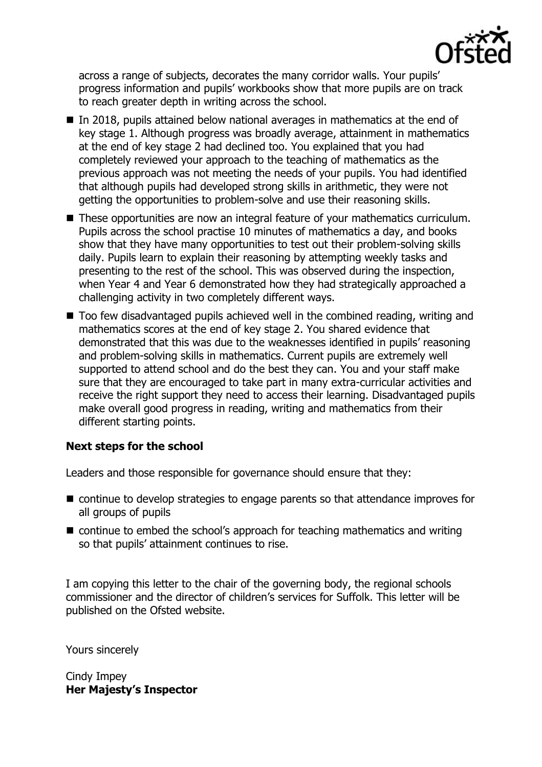

across a range of subjects, decorates the many corridor walls. Your pupils' progress information and pupils' workbooks show that more pupils are on track to reach greater depth in writing across the school.

- In 2018, pupils attained below national averages in mathematics at the end of key stage 1. Although progress was broadly average, attainment in mathematics at the end of key stage 2 had declined too. You explained that you had completely reviewed your approach to the teaching of mathematics as the previous approach was not meeting the needs of your pupils. You had identified that although pupils had developed strong skills in arithmetic, they were not getting the opportunities to problem-solve and use their reasoning skills.
- These opportunities are now an integral feature of your mathematics curriculum. Pupils across the school practise 10 minutes of mathematics a day, and books show that they have many opportunities to test out their problem-solving skills daily. Pupils learn to explain their reasoning by attempting weekly tasks and presenting to the rest of the school. This was observed during the inspection, when Year 4 and Year 6 demonstrated how they had strategically approached a challenging activity in two completely different ways.
- Too few disadvantaged pupils achieved well in the combined reading, writing and mathematics scores at the end of key stage 2. You shared evidence that demonstrated that this was due to the weaknesses identified in pupils' reasoning and problem-solving skills in mathematics. Current pupils are extremely well supported to attend school and do the best they can. You and your staff make sure that they are encouraged to take part in many extra-curricular activities and receive the right support they need to access their learning. Disadvantaged pupils make overall good progress in reading, writing and mathematics from their different starting points.

## **Next steps for the school**

Leaders and those responsible for governance should ensure that they:

- continue to develop strategies to engage parents so that attendance improves for all groups of pupils
- continue to embed the school's approach for teaching mathematics and writing so that pupils' attainment continues to rise.

I am copying this letter to the chair of the governing body, the regional schools commissioner and the director of children's services for Suffolk. This letter will be published on the Ofsted website.

Yours sincerely

Cindy Impey **Her Majesty's Inspector**